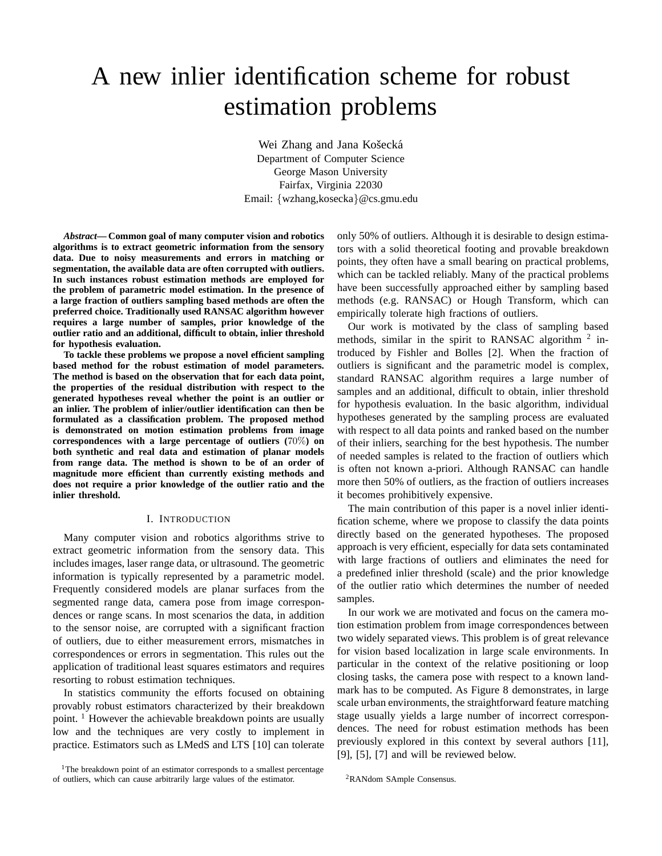# A new inlier identification scheme for robust estimation problems

Wei Zhang and Jana Košecká Department of Computer Science George Mason University Fairfax, Virginia 22030 Email: {wzhang,kosecka}@cs.gmu.edu

*Abstract***— Common goal of many computer vision and robotics algorithms is to extract geometric information from the sensory data. Due to noisy measurements and errors in matching or segmentation, the available data are often corrupted with outliers. In such instances robust estimation methods are employed for the problem of parametric model estimation. In the presence of a large fraction of outliers sampling based methods are often the preferred choice. Traditionally used RANSAC algorithm however requires a large number of samples, prior knowledge of the outlier ratio and an additional, difficult to obtain, inlier threshold for hypothesis evaluation.**

**To tackle these problems we propose a novel efficient sampling based method for the robust estimation of model parameters. The method is based on the observation that for each data point, the properties of the residual distribution with respect to the generated hypotheses reveal whether the point is an outlier or an inlier. The problem of inlier/outlier identification can then be formulated as a classification problem. The proposed method is demonstrated on motion estimation problems from image correspondences with a large percentage of outliers (**70%**) on both synthetic and real data and estimation of planar models from range data. The method is shown to be of an order of magnitude more efficient than currently existing methods and does not require a prior knowledge of the outlier ratio and the inlier threshold.**

#### I. INTRODUCTION

Many computer vision and robotics algorithms strive to extract geometric information from the sensory data. This includes images, laser range data, or ultrasound. The geometric information is typically represented by a parametric model. Frequently considered models are planar surfaces from the segmented range data, camera pose from image correspondences or range scans. In most scenarios the data, in addition to the sensor noise, are corrupted with a significant fraction of outliers, due to either measurement errors, mismatches in correspondences or errors in segmentation. This rules out the application of traditional least squares estimators and requires resorting to robust estimation techniques.

In statistics community the efforts focused on obtaining provably robust estimators characterized by their breakdown point. <sup>1</sup> However the achievable breakdown points are usually low and the techniques are very costly to implement in practice. Estimators such as LMedS and LTS [10] can tolerate

<sup>1</sup>The breakdown point of an estimator corresponds to a smallest percentage of outliers, which can cause arbitrarily large values of the estimator.

only 50% of outliers. Although it is desirable to design estimators with a solid theoretical footing and provable breakdown points, they often have a small bearing on practical problems, which can be tackled reliably. Many of the practical problems have been successfully approached either by sampling based methods (e.g. RANSAC) or Hough Transform, which can empirically tolerate high fractions of outliers.

Our work is motivated by the class of sampling based methods, similar in the spirit to RANSAC algorithm  $2$  introduced by Fishler and Bolles [2]. When the fraction of outliers is significant and the parametric model is complex, standard RANSAC algorithm requires a large number of samples and an additional, difficult to obtain, inlier threshold for hypothesis evaluation. In the basic algorithm, individual hypotheses generated by the sampling process are evaluated with respect to all data points and ranked based on the number of their inliers, searching for the best hypothesis. The number of needed samples is related to the fraction of outliers which is often not known a-priori. Although RANSAC can handle more then 50% of outliers, as the fraction of outliers increases it becomes prohibitively expensive.

The main contribution of this paper is a novel inlier identification scheme, where we propose to classify the data points directly based on the generated hypotheses. The proposed approach is very efficient, especially for data sets contaminated with large fractions of outliers and eliminates the need for a predefined inlier threshold (scale) and the prior knowledge of the outlier ratio which determines the number of needed samples.

In our work we are motivated and focus on the camera motion estimation problem from image correspondences between two widely separated views. This problem is of great relevance for vision based localization in large scale environments. In particular in the context of the relative positioning or loop closing tasks, the camera pose with respect to a known landmark has to be computed. As Figure 8 demonstrates, in large scale urban environments, the straightforward feature matching stage usually yields a large number of incorrect correspondences. The need for robust estimation methods has been previously explored in this context by several authors [11],  $[9]$ ,  $[5]$ ,  $[7]$  and will be reviewed below.

<sup>2</sup>RANdom SAmple Consensus.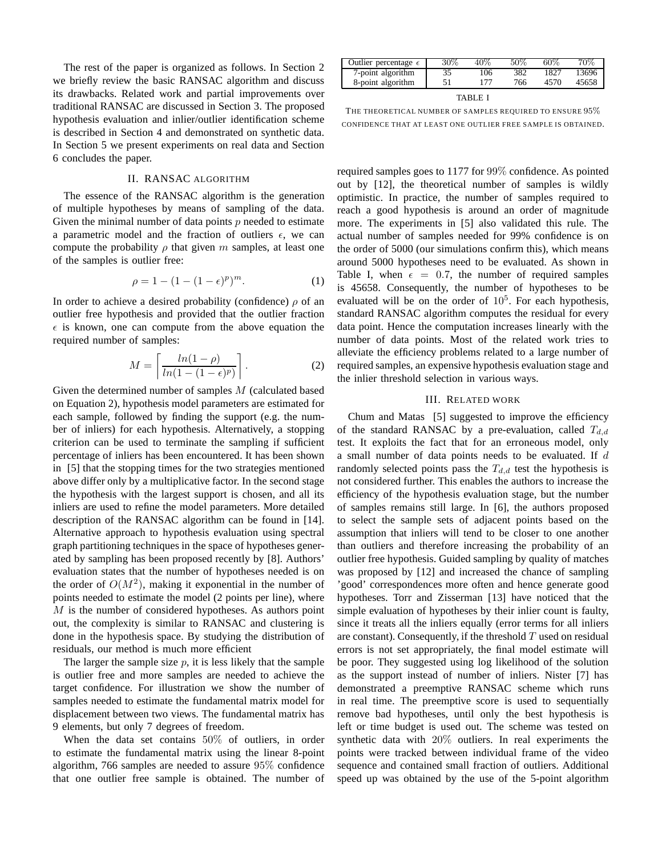The rest of the paper is organized as follows. In Section 2 we briefly review the basic RANSAC algorithm and discuss its drawbacks. Related work and partial improvements over traditional RANSAC are discussed in Section 3. The proposed hypothesis evaluation and inlier/outlier identification scheme is described in Section 4 and demonstrated on synthetic data. In Section 5 we present experiments on real data and Section 6 concludes the paper.

# II. RANSAC ALGORITHM

The essence of the RANSAC algorithm is the generation of multiple hypotheses by means of sampling of the data. Given the minimal number of data points  $p$  needed to estimate a parametric model and the fraction of outliers  $\epsilon$ , we can compute the probability  $\rho$  that given m samples, at least one of the samples is outlier free:

$$
\rho = 1 - (1 - (1 - \epsilon)^p)^m.
$$
 (1)

In order to achieve a desired probability (confidence)  $\rho$  of an outlier free hypothesis and provided that the outlier fraction  $\epsilon$  is known, one can compute from the above equation the required number of samples:

$$
M = \left\lceil \frac{\ln(1-\rho)}{\ln(1-(1-\epsilon)^p)} \right\rceil. \tag{2}
$$

Given the determined number of samples M (calculated based on Equation 2), hypothesis model parameters are estimated for each sample, followed by finding the support (e.g. the number of inliers) for each hypothesis. Alternatively, a stopping criterion can be used to terminate the sampling if sufficient percentage of inliers has been encountered. It has been shown in [5] that the stopping times for the two strategies mentioned above differ only by a multiplicative factor. In the second stage the hypothesis with the largest support is chosen, and all its inliers are used to refine the model parameters. More detailed description of the RANSAC algorithm can be found in [14]. Alternative approach to hypothesis evaluation using spectral graph partitioning techniques in the space of hypotheses generated by sampling has been proposed recently by [8]. Authors' evaluation states that the number of hypotheses needed is on the order of  $O(M^2)$ , making it exponential in the number of points needed to estimate the model (2 points per line), where M is the number of considered hypotheses. As authors point out, the complexity is similar to RANSAC and clustering is done in the hypothesis space. By studying the distribution of residuals, our method is much more efficient

The larger the sample size  $p$ , it is less likely that the sample is outlier free and more samples are needed to achieve the target confidence. For illustration we show the number of samples needed to estimate the fundamental matrix model for displacement between two views. The fundamental matrix has 9 elements, but only 7 degrees of freedom.

When the data set contains 50% of outliers, in order to estimate the fundamental matrix using the linear 8-point algorithm, 766 samples are needed to assure 95% confidence that one outlier free sample is obtained. The number of

| Outlier percentage $\epsilon$ | $30\%$ | 40% | 50% | $60\%$ | 70%   |
|-------------------------------|--------|-----|-----|--------|-------|
| 7-point algorithm             | 35     | 106 | 382 | 1827   | 13696 |
| 8-point algorithm             |        | 177 | 766 | 4570   | 45658 |
| TABLE :                       |        |     |     |        |       |

THE THEORETICAL NUMBER OF SAMPLES REQUIRED TO ENSURE 95% CONFIDENCE THAT AT LEAST ONE OUTLIER FREE SAMPLE IS OBTAINED.

required samples goes to 1177 for 99% confidence. As pointed out by [12], the theoretical number of samples is wildly optimistic. In practice, the number of samples required to reach a good hypothesis is around an order of magnitude more. The experiments in [5] also validated this rule. The actual number of samples needed for 99% confidence is on the order of 5000 (our simulations confirm this), which means around 5000 hypotheses need to be evaluated. As shown in Table I, when  $\epsilon = 0.7$ , the number of required samples is 45658. Consequently, the number of hypotheses to be evaluated will be on the order of  $10^5$ . For each hypothesis, standard RANSAC algorithm computes the residual for every data point. Hence the computation increases linearly with the number of data points. Most of the related work tries to alleviate the efficiency problems related to a large number of required samples, an expensive hypothesis evaluation stage and the inlier threshold selection in various ways.

# III. RELATED WORK

Chum and Matas [5] suggested to improve the efficiency of the standard RANSAC by a pre-evaluation, called  $T_{d,d}$ test. It exploits the fact that for an erroneous model, only a small number of data points needs to be evaluated. If d randomly selected points pass the  $T_{d,d}$  test the hypothesis is not considered further. This enables the authors to increase the efficiency of the hypothesis evaluation stage, but the number of samples remains still large. In [6], the authors proposed to select the sample sets of adjacent points based on the assumption that inliers will tend to be closer to one another than outliers and therefore increasing the probability of an outlier free hypothesis. Guided sampling by quality of matches was proposed by [12] and increased the chance of sampling 'good' correspondences more often and hence generate good hypotheses. Torr and Zisserman [13] have noticed that the simple evaluation of hypotheses by their inlier count is faulty, since it treats all the inliers equally (error terms for all inliers are constant). Consequently, if the threshold  $T$  used on residual errors is not set appropriately, the final model estimate will be poor. They suggested using log likelihood of the solution as the support instead of number of inliers. Nister [7] has demonstrated a preemptive RANSAC scheme which runs in real time. The preemptive score is used to sequentially remove bad hypotheses, until only the best hypothesis is left or time budget is used out. The scheme was tested on synthetic data with 20% outliers. In real experiments the points were tracked between individual frame of the video sequence and contained small fraction of outliers. Additional speed up was obtained by the use of the 5-point algorithm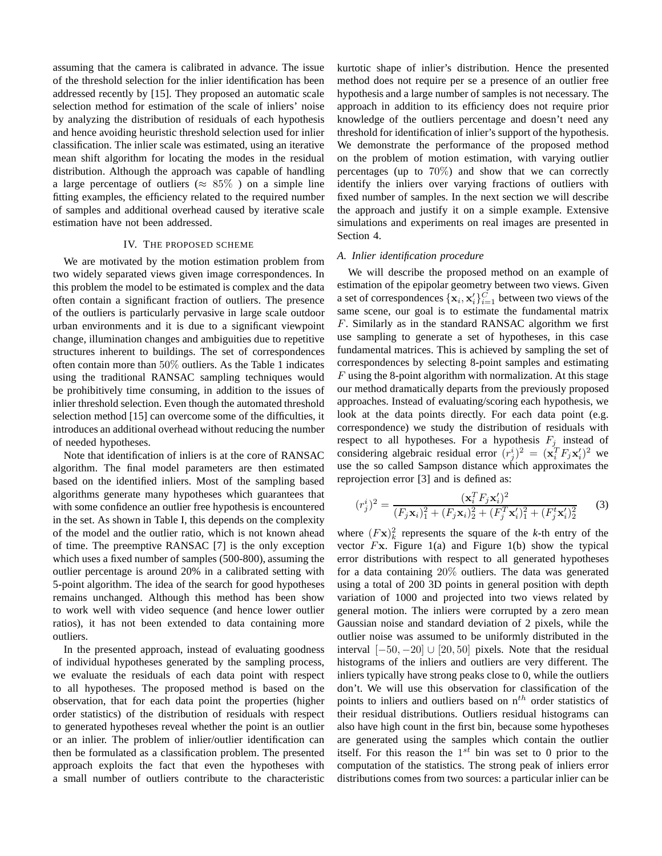assuming that the camera is calibrated in advance. The issue of the threshold selection for the inlier identification has been addressed recently by [15]. They proposed an automatic scale selection method for estimation of the scale of inliers' noise by analyzing the distribution of residuals of each hypothesis and hence avoiding heuristic threshold selection used for inlier classification. The inlier scale was estimated, using an iterative mean shift algorithm for locating the modes in the residual distribution. Although the approach was capable of handling a large percentage of outliers ( $\approx 85\%$ ) on a simple line fitting examples, the efficiency related to the required number of samples and additional overhead caused by iterative scale estimation have not been addressed.

# IV. THE PROPOSED SCHEME

We are motivated by the motion estimation problem from two widely separated views given image correspondences. In this problem the model to be estimated is complex and the data often contain a significant fraction of outliers. The presence of the outliers is particularly pervasive in large scale outdoor urban environments and it is due to a significant viewpoint change, illumination changes and ambiguities due to repetitive structures inherent to buildings. The set of correspondences often contain more than 50% outliers. As the Table 1 indicates using the traditional RANSAC sampling techniques would be prohibitively time consuming, in addition to the issues of inlier threshold selection. Even though the automated threshold selection method [15] can overcome some of the difficulties, it introduces an additional overhead without reducing the number of needed hypotheses.

Note that identification of inliers is at the core of RANSAC algorithm. The final model parameters are then estimated based on the identified inliers. Most of the sampling based algorithms generate many hypotheses which guarantees that with some confidence an outlier free hypothesis is encountered in the set. As shown in Table I, this depends on the complexity of the model and the outlier ratio, which is not known ahead of time. The preemptive RANSAC [7] is the only exception which uses a fixed number of samples (500-800), assuming the outlier percentage is around 20% in a calibrated setting with 5-point algorithm. The idea of the search for good hypotheses remains unchanged. Although this method has been show to work well with video sequence (and hence lower outlier ratios), it has not been extended to data containing more outliers.

In the presented approach, instead of evaluating goodness of individual hypotheses generated by the sampling process, we evaluate the residuals of each data point with respect to all hypotheses. The proposed method is based on the observation, that for each data point the properties (higher order statistics) of the distribution of residuals with respect to generated hypotheses reveal whether the point is an outlier or an inlier. The problem of inlier/outlier identification can then be formulated as a classification problem. The presented approach exploits the fact that even the hypotheses with a small number of outliers contribute to the characteristic

kurtotic shape of inlier's distribution. Hence the presented method does not require per se a presence of an outlier free hypothesis and a large number of samples is not necessary. The approach in addition to its efficiency does not require prior knowledge of the outliers percentage and doesn't need any threshold for identification of inlier's support of the hypothesis. We demonstrate the performance of the proposed method on the problem of motion estimation, with varying outlier percentages (up to 70%) and show that we can correctly identify the inliers over varying fractions of outliers with fixed number of samples. In the next section we will describe the approach and justify it on a simple example. Extensive simulations and experiments on real images are presented in Section 4.

## *A. Inlier identification procedure*

We will describe the proposed method on an example of estimation of the epipolar geometry between two views. Given a set of correspondences  $\{x_i, x'_i\}_{i=1}^{\tilde{C}}$  between two views of the same scene, our goal is to estimate the fundamental matrix F. Similarly as in the standard RANSAC algorithm we first use sampling to generate a set of hypotheses, in this case fundamental matrices. This is achieved by sampling the set of correspondences by selecting 8-point samples and estimating  $F$  using the 8-point algorithm with normalization. At this stage our method dramatically departs from the previously proposed approaches. Instead of evaluating/scoring each hypothesis, we look at the data points directly. For each data point (e.g. correspondence) we study the distribution of residuals with respect to all hypotheses. For a hypothesis  $F_i$  instead of considering algebraic residual error  $(r_j^i)^2 = (\mathbf{x}_i^T F_j \mathbf{x}_i')^2$  we use the so called Sampson distance which approximates the reprojection error [3] and is defined as:

$$
(r_j^i)^2 = \frac{(\mathbf{x}_i^T F_j \mathbf{x}_i')^2}{(F_j \mathbf{x}_i)_1^2 + (F_j \mathbf{x}_i)_2^2 + (F_j^T \mathbf{x}_i')_1^2 + (F_j^t \mathbf{x}_i')_2^2}
$$
(3)

where  $(Fx)_k^2$  represents the square of the *k*-th entry of the vector  $Fx$ . Figure 1(a) and Figure 1(b) show the typical error distributions with respect to all generated hypotheses for a data containing 20% outliers. The data was generated using a total of 200 3D points in general position with depth variation of 1000 and projected into two views related by general motion. The inliers were corrupted by a zero mean Gaussian noise and standard deviation of 2 pixels, while the outlier noise was assumed to be uniformly distributed in the interval  $[-50, -20]$  ∪  $[20, 50]$  pixels. Note that the residual histograms of the inliers and outliers are very different. The inliers typically have strong peaks close to 0, while the outliers don't. We will use this observation for classification of the points to inliers and outliers based on  $n<sup>th</sup>$  order statistics of their residual distributions. Outliers residual histograms can also have high count in the first bin, because some hypotheses are generated using the samples which contain the outlier itself. For this reason the  $1^{st}$  bin was set to 0 prior to the computation of the statistics. The strong peak of inliers error distributions comes from two sources: a particular inlier can be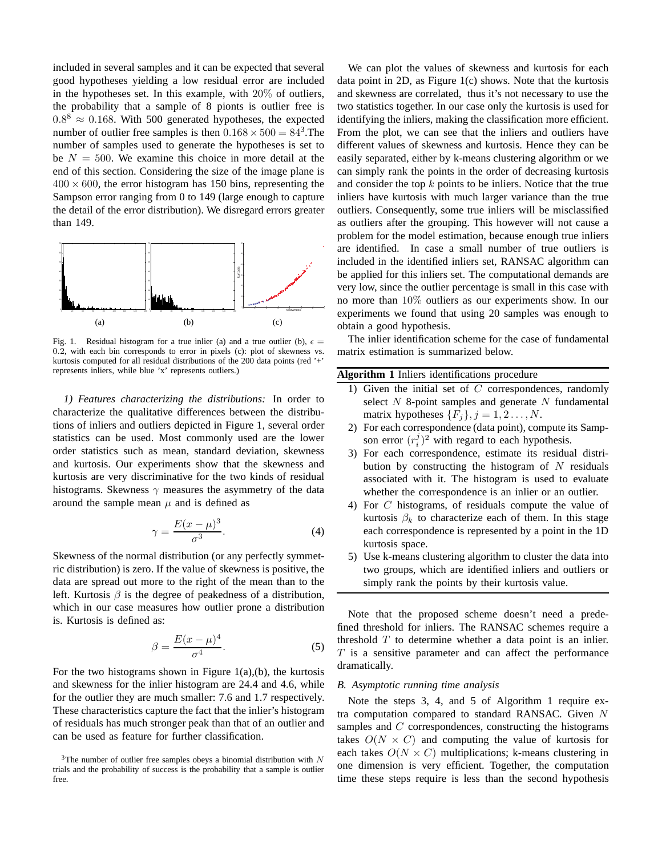included in several samples and it can be expected that several good hypotheses yielding a low residual error are included in the hypotheses set. In this example, with 20% of outliers, the probability that a sample of 8 pionts is outlier free is  $0.8^8 \approx 0.168$ . With 500 generated hypotheses, the expected number of outlier free samples is then  $0.168 \times 500 = 84^3$ . The number of samples used to generate the hypotheses is set to be  $N = 500$ . We examine this choice in more detail at the end of this section. Considering the size of the image plane is  $400 \times 600$ , the error histogram has 150 bins, representing the Sampson error ranging from 0 to 149 (large enough to capture the detail of the error distribution). We disregard errors greater than 149.



Fig. 1. Residual histogram for a true inlier (a) and a true outlier (b),  $\epsilon =$ 0.2, with each bin corresponds to error in pixels (c): plot of skewness vs. kurtosis computed for all residual distributions of the 200 data points (red '+' represents inliers, while blue 'x' represents outliers.)

*1) Features characterizing the distributions:* In order to characterize the qualitative differences between the distributions of inliers and outliers depicted in Figure 1, several order statistics can be used. Most commonly used are the lower order statistics such as mean, standard deviation, skewness and kurtosis. Our experiments show that the skewness and kurtosis are very discriminative for the two kinds of residual histograms. Skewness  $\gamma$  measures the asymmetry of the data around the sample mean  $\mu$  and is defined as

$$
\gamma = \frac{E(x - \mu)^3}{\sigma^3}.
$$
\n(4)

Skewness of the normal distribution (or any perfectly symmetric distribution) is zero. If the value of skewness is positive, the data are spread out more to the right of the mean than to the left. Kurtosis  $\beta$  is the degree of peakedness of a distribution, which in our case measures how outlier prone a distribution is. Kurtosis is defined as:

$$
\beta = \frac{E(x - \mu)^4}{\sigma^4}.
$$
\n(5)

For the two histograms shown in Figure  $1(a)$ , (b), the kurtosis and skewness for the inlier histogram are 24.4 and 4.6, while for the outlier they are much smaller: 7.6 and 1.7 respectively. These characteristics capture the fact that the inlier's histogram of residuals has much stronger peak than that of an outlier and can be used as feature for further classification.

We can plot the values of skewness and kurtosis for each data point in 2D, as Figure 1(c) shows. Note that the kurtosis and skewness are correlated, thus it's not necessary to use the two statistics together. In our case only the kurtosis is used for identifying the inliers, making the classification more efficient. From the plot, we can see that the inliers and outliers have different values of skewness and kurtosis. Hence they can be easily separated, either by k-means clustering algorithm or we can simply rank the points in the order of decreasing kurtosis and consider the top  $k$  points to be inliers. Notice that the true inliers have kurtosis with much larger variance than the true outliers. Consequently, some true inliers will be misclassified as outliers after the grouping. This however will not cause a problem for the model estimation, because enough true inliers are identified. In case a small number of true outliers is included in the identified inliers set, RANSAC algorithm can be applied for this inliers set. The computational demands are very low, since the outlier percentage is small in this case with no more than 10% outliers as our experiments show. In our experiments we found that using 20 samples was enough to obtain a good hypothesis.

The inlier identification scheme for the case of fundamental matrix estimation is summarized below.

# **Algorithm 1** Inliers identifications procedure

- 1) Given the initial set of  $C$  correspondences, randomly select  $N$  8-point samples and generate  $N$  fundamental matrix hypotheses  $\{F_j\}, j = 1, 2, \ldots, N$ .
- 2) For each correspondence (data point), compute its Sampson error  $(r_i^j)^2$  with regard to each hypothesis.
- 3) For each correspondence, estimate its residual distribution by constructing the histogram of  $N$  residuals associated with it. The histogram is used to evaluate whether the correspondence is an inlier or an outlier.
- 4) For C histograms, of residuals compute the value of kurtosis  $\beta_k$  to characterize each of them. In this stage each correspondence is represented by a point in the 1D kurtosis space.
- 5) Use k-means clustering algorithm to cluster the data into two groups, which are identified inliers and outliers or simply rank the points by their kurtosis value.

Note that the proposed scheme doesn't need a predefined threshold for inliers. The RANSAC schemes require a threshold  $T$  to determine whether a data point is an inlier.  $T$  is a sensitive parameter and can affect the performance dramatically.

# *B. Asymptotic running time analysis*

Note the steps 3, 4, and 5 of Algorithm 1 require extra computation compared to standard RANSAC. Given N samples and C correspondences, constructing the histograms takes  $O(N \times C)$  and computing the value of kurtosis for each takes  $O(N \times C)$  multiplications; k-means clustering in one dimension is very efficient. Together, the computation time these steps require is less than the second hypothesis

 $3$ The number of outlier free samples obeys a binomial distribution with N trials and the probability of success is the probability that a sample is outlier free.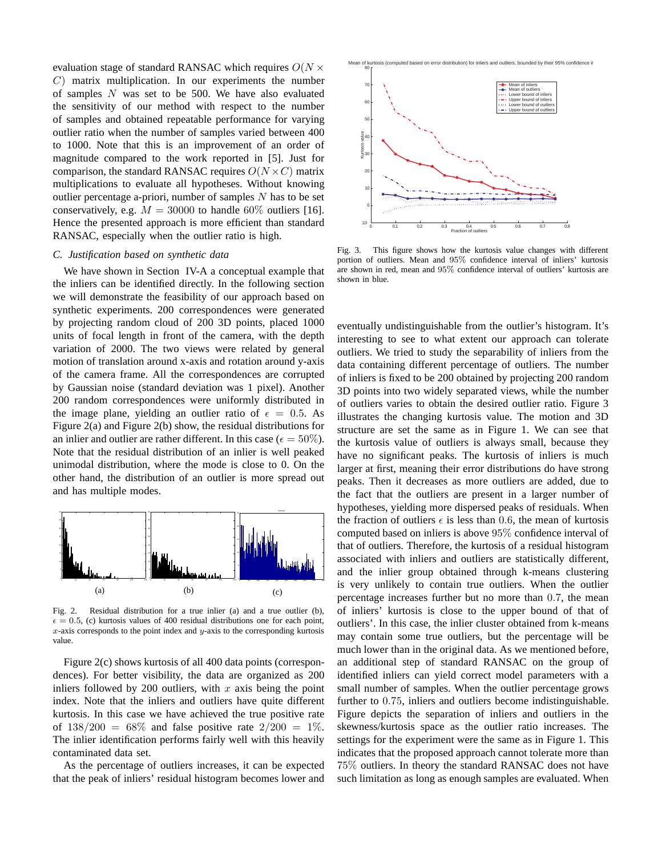evaluation stage of standard RANSAC which requires  $O(N \times$  $C$ ) matrix multiplication. In our experiments the number of samples  $N$  was set to be 500. We have also evaluated the sensitivity of our method with respect to the number of samples and obtained repeatable performance for varying outlier ratio when the number of samples varied between 400 to 1000. Note that this is an improvement of an order of magnitude compared to the work reported in [5]. Just for comparison, the standard RANSAC requires  $O(N \times C)$  matrix multiplications to evaluate all hypotheses. Without knowing outlier percentage a-priori, number of samples  $N$  has to be set conservatively, e.g.  $M = 30000$  to handle 60% outliers [16]. Hence the presented approach is more efficient than standard RANSAC, especially when the outlier ratio is high.

## *C. Justification based on synthetic data*

We have shown in Section IV-A a conceptual example that the inliers can be identified directly. In the following section we will demonstrate the feasibility of our approach based on synthetic experiments. 200 correspondences were generated by projecting random cloud of 200 3D points, placed 1000 units of focal length in front of the camera, with the depth variation of 2000. The two views were related by general motion of translation around x-axis and rotation around y-axis of the camera frame. All the correspondences are corrupted by Gaussian noise (standard deviation was 1 pixel). Another 200 random correspondences were uniformly distributed in the image plane, yielding an outlier ratio of  $\epsilon = 0.5$ . As Figure 2(a) and Figure 2(b) show, the residual distributions for an inlier and outlier are rather different. In this case ( $\epsilon = 50\%$ ). Note that the residual distribution of an inlier is well peaked unimodal distribution, where the mode is close to 0. On the other hand, the distribution of an outlier is more spread out and has multiple modes.



Fig. 2. Residual distribution for a true inlier (a) and a true outlier (b),  $\epsilon = 0.5$ , (c) kurtosis values of 400 residual distributions one for each point,  $x$ -axis corresponds to the point index and  $y$ -axis to the corresponding kurtosis value.

Figure 2(c) shows kurtosis of all 400 data points (correspondences). For better visibility, the data are organized as 200 inliers followed by 200 outliers, with  $x$  axis being the point index. Note that the inliers and outliers have quite different kurtosis. In this case we have achieved the true positive rate of  $138/200 = 68\%$  and false positive rate  $2/200 = 1\%$ . The inlier identification performs fairly well with this heavily contaminated data set.

As the percentage of outliers increases, it can be expected that the peak of inliers' residual histogram becomes lower and



Fig. 3. This figure shows how the kurtosis value changes with different portion of outliers. Mean and 95% confidence interval of inliers' kurtosis are shown in red, mean and 95% confidence interval of outliers' kurtosis are shown in blue.

eventually undistinguishable from the outlier's histogram. It's interesting to see to what extent our approach can tolerate outliers. We tried to study the separability of inliers from the data containing different percentage of outliers. The number of inliers is fixed to be 200 obtained by projecting 200 random 3D points into two widely separated views, while the number of outliers varies to obtain the desired outlier ratio. Figure 3 illustrates the changing kurtosis value. The motion and 3D structure are set the same as in Figure 1. We can see that the kurtosis value of outliers is always small, because they have no significant peaks. The kurtosis of inliers is much larger at first, meaning their error distributions do have strong peaks. Then it decreases as more outliers are added, due to the fact that the outliers are present in a larger number of hypotheses, yielding more dispersed peaks of residuals. When the fraction of outliers  $\epsilon$  is less than 0.6, the mean of kurtosis computed based on inliers is above 95% confidence interval of that of outliers. Therefore, the kurtosis of a residual histogram associated with inliers and outliers are statistically different, and the inlier group obtained through k-means clustering is very unlikely to contain true outliers. When the outlier percentage increases further but no more than 0.7, the mean of inliers' kurtosis is close to the upper bound of that of outliers'. In this case, the inlier cluster obtained from k-means may contain some true outliers, but the percentage will be much lower than in the original data. As we mentioned before, an additional step of standard RANSAC on the group of identified inliers can yield correct model parameters with a small number of samples. When the outlier percentage grows further to 0.75, inliers and outliers become indistinguishable. Figure depicts the separation of inliers and outliers in the skewness/kurtosis space as the outlier ratio increases. The settings for the experiment were the same as in Figure 1. This indicates that the proposed approach cannot tolerate more than 75% outliers. In theory the standard RANSAC does not have such limitation as long as enough samples are evaluated. When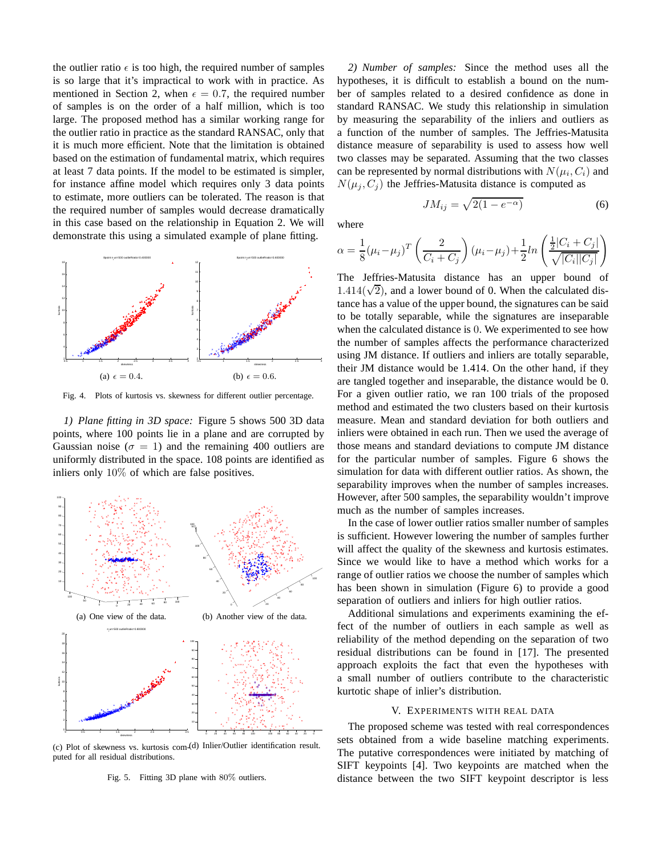the outlier ratio  $\epsilon$  is too high, the required number of samples is so large that it's impractical to work with in practice. As mentioned in Section 2, when  $\epsilon = 0.7$ , the required number of samples is on the order of a half million, which is too large. The proposed method has a similar working range for the outlier ratio in practice as the standard RANSAC, only that it is much more efficient. Note that the limitation is obtained based on the estimation of fundamental matrix, which requires at least 7 data points. If the model to be estimated is simpler, for instance affine model which requires only 3 data points to estimate, more outliers can be tolerated. The reason is that the required number of samples would decrease dramatically in this case based on the relationship in Equation 2. We will demonstrate this using a simulated example of plane fitting.



Fig. 4. Plots of kurtosis vs. skewness for different outlier percentage.

*1) Plane fitting in 3D space:* Figure 5 shows 500 3D data points, where 100 points lie in a plane and are corrupted by Gaussian noise ( $\sigma = 1$ ) and the remaining 400 outliers are uniformly distributed in the space. 108 points are identified as inliers only 10% of which are false positives.



(c) Plot of skewness vs. kurtosis com-(d) Inlier/Outlier identification result. puted for all residual distributions.

Fig. 5. Fitting 3D plane with 80% outliers.

*2) Number of samples:* Since the method uses all the hypotheses, it is difficult to establish a bound on the number of samples related to a desired confidence as done in standard RANSAC. We study this relationship in simulation by measuring the separability of the inliers and outliers as a function of the number of samples. The Jeffries-Matusita distance measure of separability is used to assess how well two classes may be separated. Assuming that the two classes can be represented by normal distributions with  $N(\mu_i, C_i)$  and  $N(\mu_i, C_i)$  the Jeffries-Matusita distance is computed as

where

$$
\alpha = \frac{1}{8} (\mu_i - \mu_j)^T \left( \frac{2}{C_i + C_j} \right) (\mu_i - \mu_j) + \frac{1}{2} ln \left( \frac{\frac{1}{2} |C_i + C_j|}{\sqrt{|C_i| |C_j|}} \right)
$$

 $JM_{ij} = \sqrt{2(1 - e^{-\alpha})}$  (6)

The Jeffries-Matusita distance has an upper bound of 1.414( $\sqrt{2}$ ), and a lower bound of 0. When the calculated distance has a value of the upper bound, the signatures can be said to be totally separable, while the signatures are inseparable when the calculated distance is 0. We experimented to see how the number of samples affects the performance characterized using JM distance. If outliers and inliers are totally separable, their JM distance would be 1.414. On the other hand, if they are tangled together and inseparable, the distance would be 0. For a given outlier ratio, we ran 100 trials of the proposed method and estimated the two clusters based on their kurtosis measure. Mean and standard deviation for both outliers and inliers were obtained in each run. Then we used the average of those means and standard deviations to compute JM distance for the particular number of samples. Figure 6 shows the simulation for data with different outlier ratios. As shown, the separability improves when the number of samples increases. However, after 500 samples, the separability wouldn't improve much as the number of samples increases.

In the case of lower outlier ratios smaller number of samples is sufficient. However lowering the number of samples further will affect the quality of the skewness and kurtosis estimates. Since we would like to have a method which works for a range of outlier ratios we choose the number of samples which has been shown in simulation (Figure 6) to provide a good separation of outliers and inliers for high outlier ratios.

Additional simulations and experiments examining the effect of the number of outliers in each sample as well as reliability of the method depending on the separation of two residual distributions can be found in [17]. The presented approach exploits the fact that even the hypotheses with a small number of outliers contribute to the characteristic kurtotic shape of inlier's distribution.

## V. EXPERIMENTS WITH REAL DATA

The proposed scheme was tested with real correspondences sets obtained from a wide baseline matching experiments. The putative correspondences were initiated by matching of SIFT keypoints [4]. Two keypoints are matched when the distance between the two SIFT keypoint descriptor is less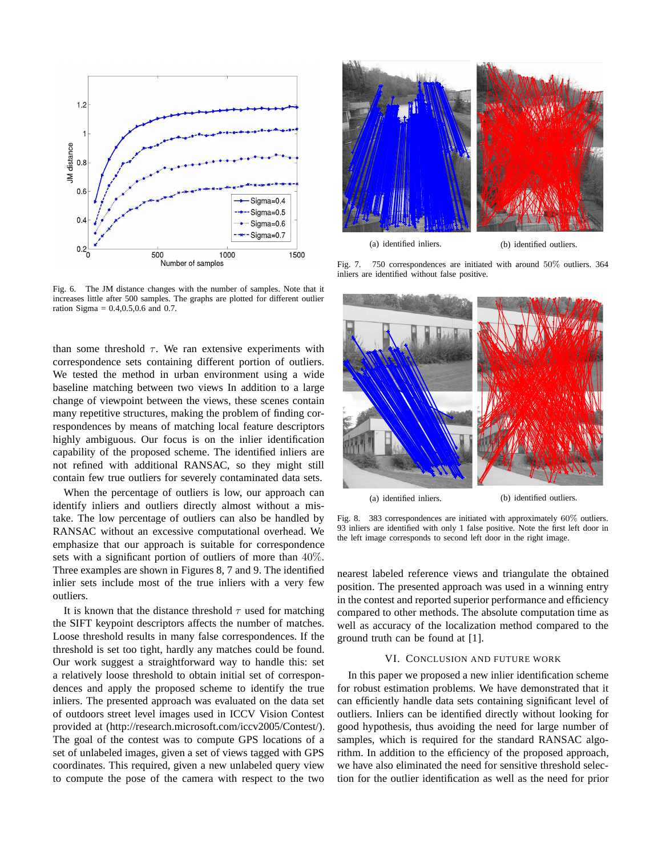

Fig. 6. The JM distance changes with the number of samples. Note that it increases little after 500 samples. The graphs are plotted for different outlier ration Sigma = 0.4,0.5,0.6 and 0.7.

than some threshold  $\tau$ . We ran extensive experiments with correspondence sets containing different portion of outliers. We tested the method in urban environment using a wide baseline matching between two views In addition to a large change of viewpoint between the views, these scenes contain many repetitive structures, making the problem of finding correspondences by means of matching local feature descriptors highly ambiguous. Our focus is on the inlier identification capability of the proposed scheme. The identified inliers are not refined with additional RANSAC, so they might still contain few true outliers for severely contaminated data sets.

When the percentage of outliers is low, our approach can identify inliers and outliers directly almost without a mistake. The low percentage of outliers can also be handled by RANSAC without an excessive computational overhead. We emphasize that our approach is suitable for correspondence sets with a significant portion of outliers of more than 40%. Three examples are shown in Figures 8, 7 and 9. The identified inlier sets include most of the true inliers with a very few outliers.

It is known that the distance threshold  $\tau$  used for matching the SIFT keypoint descriptors affects the number of matches. Loose threshold results in many false correspondences. If the threshold is set too tight, hardly any matches could be found. Our work suggest a straightforward way to handle this: set a relatively loose threshold to obtain initial set of correspondences and apply the proposed scheme to identify the true inliers. The presented approach was evaluated on the data set of outdoors street level images used in ICCV Vision Contest provided at (http://research.microsoft.com/iccv2005/Contest/). The goal of the contest was to compute GPS locations of a set of unlabeled images, given a set of views tagged with GPS coordinates. This required, given a new unlabeled query view to compute the pose of the camera with respect to the two



(a) identified inliers. (b) identified outliers.

Fig. 7. 750 correspondences are initiated with around 50% outliers. 364 inliers are identified without false positive.



Fig. 8. 383 correspondences are initiated with approximately 60% outliers. 93 inliers are identified with only 1 false positive. Note the first left door in

the left image corresponds to second left door in the right image.

nearest labeled reference views and triangulate the obtained position. The presented approach was used in a winning entry in the contest and reported superior performance and efficiency compared to other methods. The absolute computation time as well as accuracy of the localization method compared to the ground truth can be found at [1].

## VI. CONCLUSION AND FUTURE WORK

In this paper we proposed a new inlier identification scheme for robust estimation problems. We have demonstrated that it can efficiently handle data sets containing significant level of outliers. Inliers can be identified directly without looking for good hypothesis, thus avoiding the need for large number of samples, which is required for the standard RANSAC algorithm. In addition to the efficiency of the proposed approach, we have also eliminated the need for sensitive threshold selection for the outlier identification as well as the need for prior